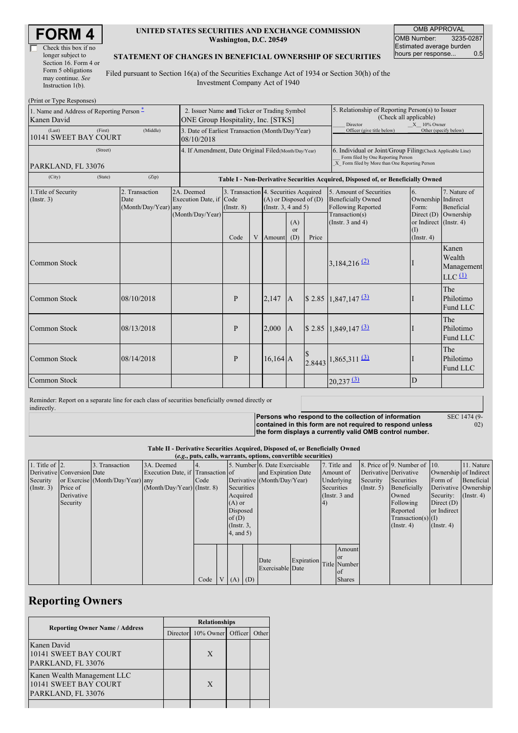| <b>FORM 4</b> |
|---------------|
|---------------|

| Check this box if no  |
|-----------------------|
| longer subject to     |
| Section 16. Form 4 or |
| Form 5 obligations    |
| may continue. See     |
| Instruction $1(b)$ .  |

### **UNITED STATES SECURITIES AND EXCHANGE COMMISSION Washington, D.C. 20549**

OMB APPROVAL OMB Number: 3235-0287 Estimated average burden<br>hours per response... 0.5 hours per response...

#### **STATEMENT OF CHANGES IN BENEFICIAL OWNERSHIP OF SECURITIES**

Filed pursuant to Section 16(a) of the Securities Exchange Act of 1934 or Section 30(h) of the Investment Company Act of 1940

| (Print or Type Responses)                                           |                                                              |                                                                                   |                                            |  |                                                                                                 |                             |                                                                                                                                                    |                                                                                              |                                                   |                                                                    |
|---------------------------------------------------------------------|--------------------------------------------------------------|-----------------------------------------------------------------------------------|--------------------------------------------|--|-------------------------------------------------------------------------------------------------|-----------------------------|----------------------------------------------------------------------------------------------------------------------------------------------------|----------------------------------------------------------------------------------------------|---------------------------------------------------|--------------------------------------------------------------------|
| 1. Name and Address of Reporting Person <sup>*</sup><br>Kanen David |                                                              | 2. Issuer Name and Ticker or Trading Symbol<br>ONE Group Hospitality, Inc. [STKS] |                                            |  |                                                                                                 |                             | 5. Relationship of Reporting Person(s) to Issuer<br>(Check all applicable)<br>$X = 10\%$ Owner<br>Director                                         |                                                                                              |                                                   |                                                                    |
| (Last)<br>(First)<br>10141 SWEET BAY COURT                          | 08/10/2018                                                   | 3. Date of Earliest Transaction (Month/Day/Year)                                  |                                            |  |                                                                                                 |                             | Officer (give title below)                                                                                                                         |                                                                                              | Other (specify below)                             |                                                                    |
| (Street)                                                            | 4. If Amendment, Date Original Filed (Month/Day/Year)        |                                                                                   |                                            |  |                                                                                                 |                             | 6. Individual or Joint/Group Filing(Check Applicable Line)<br>Form filed by One Reporting Person<br>X Form filed by More than One Reporting Person |                                                                                              |                                                   |                                                                    |
| PARKLAND, FL 33076                                                  |                                                              |                                                                                   |                                            |  |                                                                                                 |                             |                                                                                                                                                    |                                                                                              |                                                   |                                                                    |
| (City)<br>(State)                                                   | (Zip)                                                        |                                                                                   |                                            |  |                                                                                                 |                             |                                                                                                                                                    | Table I - Non-Derivative Securities Acquired, Disposed of, or Beneficially Owned             |                                                   |                                                                    |
| 1. Title of Security<br>(Insert. 3)                                 | 2. Transaction<br>2A. Deemed<br>Date<br>(Month/Day/Year) any |                                                                                   | Execution Date, if Code<br>$($ Instr. $8)$ |  | 3. Transaction 4. Securities Acquired<br>$(A)$ or Disposed of $(D)$<br>(Instr. $3, 4$ and $5$ ) |                             |                                                                                                                                                    | 5. Amount of Securities<br><b>Beneficially Owned</b><br>Following Reported<br>Transaction(s) | 6.<br>Ownership Indirect<br>Form:<br>Direct (D)   | 7. Nature of<br>Beneficial<br>Ownership                            |
|                                                                     |                                                              | (Month/Day/Year)                                                                  | Code                                       |  | V Amount                                                                                        | (A)<br><sub>or</sub><br>(D) | Price                                                                                                                                              | (Instr. $3$ and $4$ )                                                                        | or Indirect (Instr. 4)<br>(1)<br>$($ Instr. 4 $)$ |                                                                    |
| Common Stock                                                        |                                                              |                                                                                   |                                            |  |                                                                                                 |                             |                                                                                                                                                    | $3,184,216$ <sup>(2)</sup>                                                                   |                                                   | Kanen<br>Wealth<br>Management<br>$LLC$ <sup><math>(1)</math></sup> |
| Common Stock                                                        | 08/10/2018                                                   |                                                                                   | $\mathbf{P}$                               |  | 2.147                                                                                           | $\overline{A}$              |                                                                                                                                                    | $$2.85$ 1,847,147 $\overline{3}$                                                             |                                                   | The<br>Philotimo<br>Fund LLC                                       |
| Common Stock                                                        | 08/13/2018                                                   |                                                                                   | P                                          |  | 2,000                                                                                           | $\mathbf{A}$                |                                                                                                                                                    | \$ 2.85 1,849,147 $\frac{(3)}{2}$                                                            |                                                   | The<br>Philotimo<br>Fund LLC                                       |
| Common Stock                                                        | 08/14/2018                                                   |                                                                                   | P                                          |  | $16,164$ A                                                                                      |                             |                                                                                                                                                    | $2.8443$ <sup>1,865</sup> ,311 $\frac{(3)}{2}$                                               |                                                   | The<br>Philotimo<br>Fund LLC                                       |
| Common Stock                                                        |                                                              |                                                                                   |                                            |  |                                                                                                 |                             |                                                                                                                                                    | $20,237$ $\underline{3}$                                                                     | D                                                 |                                                                    |

Reminder: Report on a separate line for each class of securities beneficially owned directly or indirectly.

> **Persons who respond to the collection of information contained in this form are not required to respond unless the form displays a currently valid OMB control number.**

SEC 1474 (9-  $\ddot{02}$ 

#### **Table II - Derivative Securities Acquired, Disposed of, or Beneficially Owned (***e.g.***, puts, calls, warrants, options, convertible securities)**

| $(c,s)$ , puts, cans, wai rames, options, convertible securities |                            |                                  |                                   |      |          |                 |                               |                         |            |                 |                       |                              |                       |                      |
|------------------------------------------------------------------|----------------------------|----------------------------------|-----------------------------------|------|----------|-----------------|-------------------------------|-------------------------|------------|-----------------|-----------------------|------------------------------|-----------------------|----------------------|
| 1. Title of $ 2$ .                                               |                            | 3. Transaction                   | 3A. Deemed                        |      |          |                 | 5. Number 6. Date Exercisable |                         |            | 7. Title and    |                       | 8. Price of 9. Number of 10. |                       | 11. Nature           |
|                                                                  | Derivative Conversion Date |                                  | Execution Date, if Transaction of |      |          |                 | and Expiration Date           |                         |            | Amount of       | Derivative Derivative |                              | Ownership of Indirect |                      |
| Security                                                         |                            | or Exercise (Month/Day/Year) any |                                   | Code |          |                 | Derivative (Month/Day/Year)   |                         |            | Underlying      | Security              | Securities                   | Form of               | Beneficial           |
| (Insert. 3)                                                      | Price of                   |                                  | $(Month/Day/Year)$ (Instr. 8)     |      |          | Securities      |                               |                         | Securities |                 | $($ Instr. 5)         | Beneficially                 |                       | Derivative Ownership |
|                                                                  | Derivative                 |                                  |                                   |      |          | Acquired        |                               |                         |            | (Instr. $3$ and |                       | Owned                        | Security:             | $($ Instr. 4)        |
|                                                                  | Security                   |                                  |                                   |      | $(A)$ or |                 |                               |                         | 4)         |                 |                       | Following                    | Direct $(D)$          |                      |
|                                                                  |                            |                                  |                                   |      |          | Disposed        |                               |                         |            |                 |                       | Reported                     | or Indirect           |                      |
|                                                                  |                            |                                  |                                   |      | of $(D)$ |                 |                               |                         |            |                 |                       | $Transaction(s)$ (I)         |                       |                      |
|                                                                  |                            |                                  |                                   |      |          | $($ Instr. $3,$ |                               |                         |            |                 |                       | $($ Instr. 4 $)$             | $($ Instr. 4 $)$      |                      |
|                                                                  |                            |                                  |                                   |      |          | 4, and 5)       |                               |                         |            |                 |                       |                              |                       |                      |
|                                                                  |                            |                                  |                                   |      |          |                 |                               |                         |            |                 |                       |                              |                       |                      |
|                                                                  |                            |                                  |                                   |      |          |                 |                               |                         |            | Amount          |                       |                              |                       |                      |
|                                                                  |                            |                                  |                                   |      |          |                 | Date                          |                         |            | <b>or</b>       |                       |                              |                       |                      |
|                                                                  |                            |                                  |                                   |      |          |                 | Exercisable Date              | Expiration Title Number |            |                 |                       |                              |                       |                      |
|                                                                  |                            |                                  |                                   |      |          |                 |                               |                         |            | <b>of</b>       |                       |                              |                       |                      |
|                                                                  |                            |                                  |                                   | Code |          | $V(A)$ (D)      |                               |                         |            | <b>Shares</b>   |                       |                              |                       |                      |

# **Reporting Owners**

|                                                                            | <b>Relationships</b> |                   |  |       |  |  |
|----------------------------------------------------------------------------|----------------------|-------------------|--|-------|--|--|
| <b>Reporting Owner Name / Address</b>                                      | Director             | 10% Owner Officer |  | Other |  |  |
| Kanen David<br>10141 SWEET BAY COURT<br>PARKLAND, FL 33076                 |                      | X                 |  |       |  |  |
| Kanen Wealth Management LLC<br>10141 SWEET BAY COURT<br>PARKLAND, FL 33076 |                      | X                 |  |       |  |  |
|                                                                            |                      |                   |  |       |  |  |